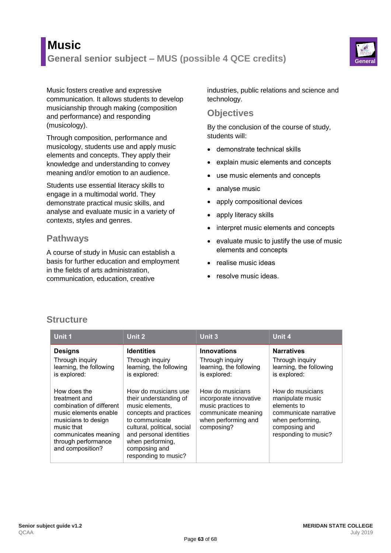# **Music General senior subject – MUS (possible 4 QCE credits) General**



Music fosters creative and expressive communication. It allows students to develop musicianship through making (composition and performance) and responding (musicology).

Through composition, performance and musicology, students use and apply music elements and concepts. They apply their knowledge and understanding to convey meaning and/or emotion to an audience.

Students use essential literacy skills to engage in a multimodal world. They demonstrate practical music skills, and analyse and evaluate music in a variety of contexts, styles and genres.

### **Pathways**

A course of study in Music can establish a basis for further education and employment in the fields of arts administration, communication, education, creative

industries, public relations and science and technology.

#### **Objectives**

By the conclusion of the course of study, students will:

- demonstrate technical skills
- explain music elements and concepts
- use music elements and concepts
- analyse music
- apply compositional devices
- apply literacy skills
- interpret music elements and concepts
- $\bullet$  evaluate music to justify the use of music elements and concepts
- realise music ideas
- resolve music ideas.

## **Structure**

| Unit 1                                                                                                                                                                                     | Unit 2                                                                                                                                                                                                                               | Unit 3                                                                                                                       | Unit 4                                                                                                                                    |
|--------------------------------------------------------------------------------------------------------------------------------------------------------------------------------------------|--------------------------------------------------------------------------------------------------------------------------------------------------------------------------------------------------------------------------------------|------------------------------------------------------------------------------------------------------------------------------|-------------------------------------------------------------------------------------------------------------------------------------------|
| <b>Designs</b><br>Through inquiry<br>learning, the following<br>is explored:                                                                                                               | <b>Identities</b><br>Through inquiry<br>learning, the following<br>is explored:                                                                                                                                                      | <b>Innovations</b><br>Through inquiry<br>learning, the following<br>is explored:                                             | <b>Narratives</b><br>Through inquiry<br>learning, the following<br>is explored:                                                           |
| How does the<br>treatment and<br>combination of different<br>music elements enable<br>musicians to design<br>music that<br>communicates meaning<br>through performance<br>and composition? | How do musicians use<br>their understanding of<br>music elements.<br>concepts and practices<br>to communicate<br>cultural, political, social<br>and personal identities<br>when performing,<br>composing and<br>responding to music? | How do musicians<br>incorporate innovative<br>music practices to<br>communicate meaning<br>when performing and<br>composing? | How do musicians<br>manipulate music<br>elements to<br>communicate narrative<br>when performing.<br>composing and<br>responding to music? |